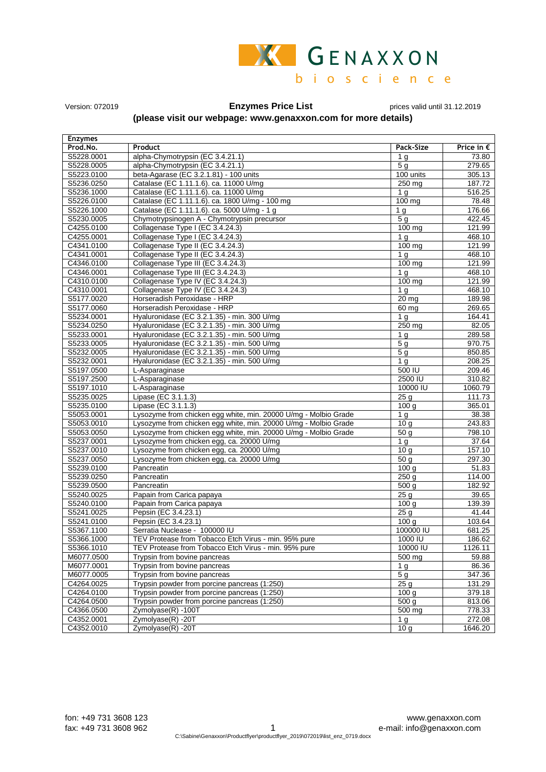

Version: 072019 **Enzymes Price List** prices valid until 31.12.2019

## **(please visit our webpage: www.genaxxon.com for more details)**

| <b>Enzymes</b> |                                                                 |                   |                     |
|----------------|-----------------------------------------------------------------|-------------------|---------------------|
| Prod.No.       | Product                                                         | Pack-Size         | Price in $\epsilon$ |
| S5228.0001     | alpha-Chymotrypsin (EC 3.4.21.1)                                | 1 <sub>g</sub>    | 73.80               |
| S5228.0005     | alpha-Chymotrypsin (EC 3.4.21.1)                                | 5q                | 279.65              |
| S5223.0100     | beta-Agarase (EC 3.2.1.81) - 100 units                          | 100 units         | 305.13              |
| S5236.0250     | Catalase (EC 1.11.1.6). ca. 11000 U/mg                          | 250 mg            | 187.72              |
| S5236.1000     | Catalase (EC 1.11.1.6). ca. 11000 U/mg                          | 1 <sub>q</sub>    | 516.25              |
| S5226.0100     | Catalase (EC 1.11.1.6). ca. 1800 U/mg - 100 mg                  | 100 mg            | 78.48               |
| S5226.1000     | Catalase (EC 1.11.1.6). ca. 5000 U/mg - 1 g                     | 1 <sub>q</sub>    | 176.66              |
| S5230.0005     | Chymotrypsinogen A - Chymotrypsin precursor                     | 5 <sub>g</sub>    | 422.45              |
| C4255.0100     | Collagenase Type I (EC 3.4.24.3)                                | 100 mg            | 121.99              |
| C4255.0001     | Collagenase Type I (EC 3.4.24.3)                                | 1 <sub>g</sub>    | 468.10              |
| C4341.0100     | Collagenase Type II (EC 3.4.24.3)                               | $100$ mg          | 121.99              |
| C4341.0001     | Collagenase Type II (EC 3.4.24.3)                               | 1 <sub>q</sub>    | 468.10              |
| C4346.0100     | Collagenase Type III (EC 3.4.24.3)                              | 100 mg            | 121.99              |
| C4346.0001     | Collagenase Type III (EC 3.4.24.3)                              | 1 <sub>q</sub>    | 468.10              |
| C4310.0100     | Collagenase Type IV (EC 3.4.24.3)                               | $100 \text{ mg}$  | 121.99              |
| C4310.0001     | Collagenase Type IV (EC 3.4.24.3)                               | 1 <sub>q</sub>    | 468.10              |
| S5177.0020     | Horseradish Peroxidase - HRP                                    | 20 mg             | 189.98              |
| S5177.0060     | Horseradish Peroxidase - HRP                                    | $60$ mg           | 269.65              |
| S5234.0001     | Hyaluronidase (EC 3.2.1.35) - min. 300 U/mg                     | 1 <sub>g</sub>    | 164.41              |
| S5234.0250     | Hyaluronidase (EC 3.2.1.35) - min. 300 U/mg                     | $250$ mg          | 82.05               |
| S5233.0001     | Hyaluronidase (EC 3.2.1.35) - min. 500 U/mg                     | 1 <sub>g</sub>    | 289.58              |
| S5233.0005     | Hyaluronidase (EC 3.2.1.35) - min. 500 U/mg                     | 5 <sub>g</sub>    | 970.75              |
| S5232.0005     | Hyaluronidase (EC 3.2.1.35) - min. 500 U/mg                     | 5 <sub>g</sub>    | 850.85              |
| S5232.0001     | Hyaluronidase (EC 3.2.1.35) - min. 500 U/mg                     | 1 <sub>g</sub>    | 208.25              |
| S5197.0500     | L-Asparaginase                                                  | 500 IU            | 209.46              |
| S5197.2500     | L-Asparaginase                                                  | 2500 IU           | 310.82              |
| S5197.1010     | L-Asparaginase                                                  | 10000 IU          | 1060.79             |
| S5235.0025     | Lipase (EC 3.1.1.3)                                             | 25 <sub>g</sub>   | 111.73              |
| S5235.0100     | Lipase (EC 3.1.1.3)                                             | 100 <sub>g</sub>  | 365.01              |
| S5053.0001     | Lysozyme from chicken egg white, min. 20000 U/mg - Molbio Grade | 1 <sub>g</sub>    | 38.38               |
| S5053.0010     | Lysozyme from chicken egg white, min. 20000 U/mg - Molbio Grade | 10 <sub>g</sub>   | 243.83              |
| S5053.0050     | Lysozyme from chicken egg white, min. 20000 U/mg - Molbio Grade | 50 <sub>g</sub>   | 798.10              |
| S5237.0001     | Lysozyme from chicken egg, ca. 20000 U/mg                       | 1 <sub>g</sub>    | 37.64               |
| S5237.0010     | Lysozyme from chicken egg, ca. 20000 U/mg                       | $\overline{10}$ g | 157.10              |
| S5237.0050     | Lysozyme from chicken egg, ca. 20000 U/mg                       | 50 <sub>g</sub>   | 297.30              |
| S5239.0100     | Pancreatin                                                      | 100 g             | 51.83               |
| S5239.0250     | Pancreatin                                                      | 250g              | 114.00              |
| S5239.0500     | Pancreatin                                                      | 500 g             | 182.92              |
| S5240.0025     | Papain from Carica papaya                                       | 25 <sub>g</sub>   | 39.65               |
| S5240.0100     | Papain from Carica papaya                                       | 100 <sub>g</sub>  | 139.39              |
| S5241.0025     | Pepsin (EC 3.4.23.1)                                            | 25 <sub>g</sub>   | 41.44               |
| S5241.0100     | Pepsin (EC 3.4.23.1)                                            | 100 g             | 103.64              |
| S5367.1100     | Serratia Nuclease - 100000 IU                                   | 100000 IU         | 681.25              |
| S5366.1000     | TEV Protease from Tobacco Etch Virus - min. 95% pure            | 1000 IU           | 186.62              |
| S5366.1010     | TEV Protease from Tobacco Etch Virus - min. 95% pure            | 10000 IU          | 1126.11             |
| M6077.0500     | Trypsin from bovine pancreas                                    | 500 mg            | 59.88               |
| M6077.0001     | Trypsin from bovine pancreas                                    | 1 <sub>g</sub>    | 86.36               |
| M6077.0005     | Trypsin from bovine pancreas                                    | 5 <sub>g</sub>    | 347.36              |
| C4264.0025     | Trypsin powder from porcine pancreas (1:250)                    | 25 <sub>g</sub>   | 131.29              |
| C4264.0100     | Trypsin powder from porcine pancreas (1:250)                    | 100 <sub>g</sub>  | 379.18              |
| C4264.0500     | Trypsin powder from porcine pancreas (1:250)                    | 500 g             | 813.06              |
| C4366.0500     | Zymolyase(R) -100T                                              | 500 mg            | 778.33              |
| C4352.0001     | Zymolyase(R) -20T                                               | 1 g               | 272.08              |
| C4352.0010     | Zymolyase(R) -20T                                               | 10g               | 1646.20             |